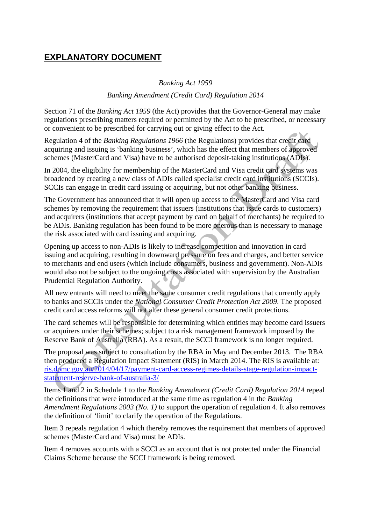## **EXPLANATORY DOCUMENT**

## *Banking Act 1959*

## *Banking Amendment (Credit Card) Regulation 2014*

Section 71 of the *Banking Act 1959* (the Act) provides that the Governor-General may make regulations prescribing matters required or permitted by the Act to be prescribed, or necessary or convenient to be prescribed for carrying out or giving effect to the Act.

Regulation 4 of the *Banking Regulations 1966* (the Regulations) provides that credit card acquiring and issuing is 'banking business', which has the effect that members of approved schemes (MasterCard and Visa) have to be authorised deposit-taking institutions (ADIs).

In 2004, the eligibility for membership of the MasterCard and Visa credit card systems was broadened by creating a new class of ADIs called specialist credit card institutions (SCCIs). SCCIs can engage in credit card issuing or acquiring, but not other banking business.

The Government has announced that it will open up access to the MasterCard and Visa card schemes by removing the requirement that issuers (institutions that issue cards to customers) and acquirers (institutions that accept payment by card on behalf of merchants) be required to be ADIs. Banking regulation has been found to be more onerous than is necessary to manage the risk associated with card issuing and acquiring.

Opening up access to non-ADIs is likely to increase competition and innovation in card issuing and acquiring, resulting in downward pressure on fees and charges, and better service to merchants and end users (which include consumers, business and government). Non-ADIs would also not be subject to the ongoing costs associated with supervision by the Australian Prudential Regulation Authority.

All new entrants will need to meet the same consumer credit regulations that currently apply to banks and SCCIs under the *National Consumer Credit Protection Act 2009*. The proposed credit card access reforms will not alter these general consumer credit protections.

The card schemes will be responsible for determining which entities may become card issuers or acquirers under their schemes; subject to a risk management framework imposed by the Reserve Bank of Australia (RBA). As a result, the SCCI framework is no longer required.

The proposal was subject to consultation by the RBA in May and December 2013. The RBA then produced a Regulation Impact Statement (RIS) in March 2014. The RIS is available at: [ris.dpmc.gov.au/2014/04/17/payment-card-access-regimes-details-stage-regulation-impact](http://ris.dpmc.gov.au/2014/04/17/payment-card-access-regimes-details-stage-regulation-impact-statement-reserve-bank-of-australia-3/)[statement-reserve-bank-of-australia-3/](http://ris.dpmc.gov.au/2014/04/17/payment-card-access-regimes-details-stage-regulation-impact-statement-reserve-bank-of-australia-3/)

Items 1 and 2 in Schedule 1 to the *Banking Amendment (Credit Card) Regulation 2014* repeal the definitions that were introduced at the same time as regulation 4 in the *Banking Amendment Regulations 2003 (No. 1)* to support the operation of regulation 4. It also removes the definition of 'limit' to clarify the operation of the Regulations.

Item 3 repeals regulation 4 which thereby removes the requirement that members of approved schemes (MasterCard and Visa) must be ADIs.

Item 4 removes accounts with a SCCI as an account that is not protected under the Financial Claims Scheme because the SCCI framework is being removed.